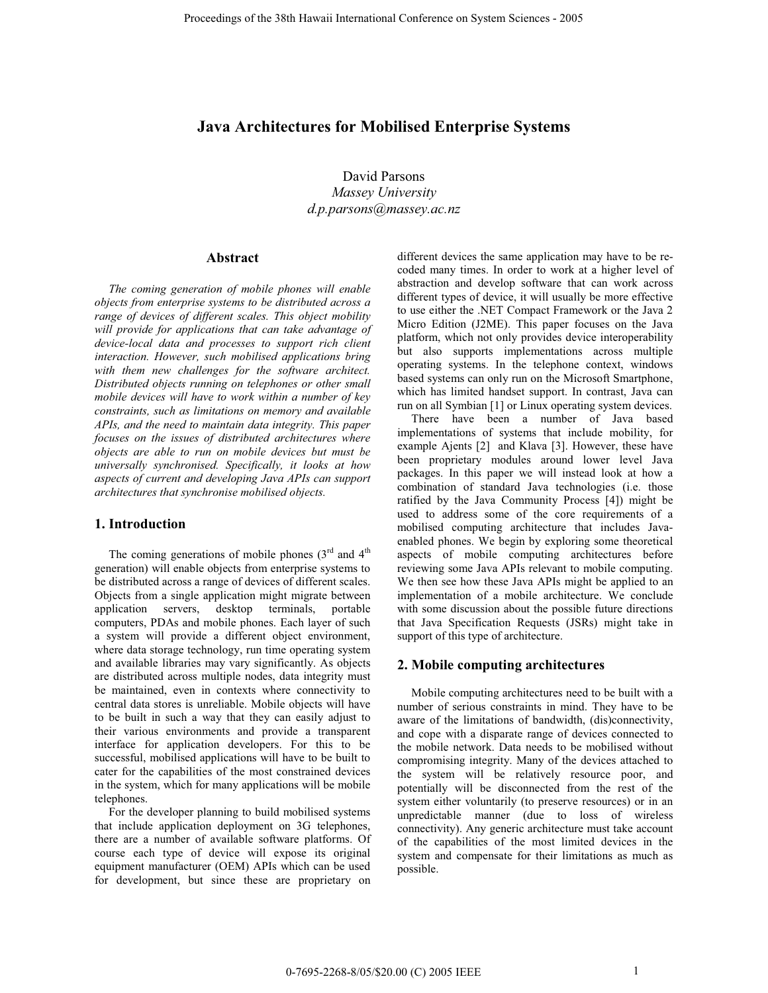# **Java Architectures for Mobilised Enterprise Systems**

David Parsons *Massey University d.p.parsons@massey.ac.nz* 

#### **Abstract**

*The coming generation of mobile phones will enable objects from enterprise systems to be distributed across a range of devices of different scales. This object mobility will provide for applications that can take advantage of device-local data and processes to support rich client interaction. However, such mobilised applications bring with them new challenges for the software architect. Distributed objects running on telephones or other small mobile devices will have to work within a number of key constraints, such as limitations on memory and available APIs, and the need to maintain data integrity. This paper focuses on the issues of distributed architectures where objects are able to run on mobile devices but must be universally synchronised. Specifically, it looks at how aspects of current and developing Java APIs can support architectures that synchronise mobilised objects.* 

## **1. Introduction**

The coming generations of mobile phones  $(3<sup>rd</sup>$  and  $4<sup>th</sup>$ generation) will enable objects from enterprise systems to be distributed across a range of devices of different scales. Objects from a single application might migrate between application servers, desktop terminals, portable computers, PDAs and mobile phones. Each layer of such a system will provide a different object environment, where data storage technology, run time operating system and available libraries may vary significantly. As objects are distributed across multiple nodes, data integrity must be maintained, even in contexts where connectivity to central data stores is unreliable. Mobile objects will have to be built in such a way that they can easily adjust to their various environments and provide a transparent interface for application developers. For this to be successful, mobilised applications will have to be built to cater for the capabilities of the most constrained devices in the system, which for many applications will be mobile telephones.

For the developer planning to build mobilised systems that include application deployment on 3G telephones, there are a number of available software platforms. Of course each type of device will expose its original equipment manufacturer (OEM) APIs which can be used for development, but since these are proprietary on

different devices the same application may have to be recoded many times. In order to work at a higher level of abstraction and develop software that can work across different types of device, it will usually be more effective to use either the .NET Compact Framework or the Java 2 Micro Edition (J2ME). This paper focuses on the Java platform, which not only provides device interoperability but also supports implementations across multiple operating systems. In the telephone context, windows based systems can only run on the Microsoft Smartphone, which has limited handset support. In contrast, Java can run on all Symbian [1] or Linux operating system devices.

There have been a number of Java based implementations of systems that include mobility, for example Ajents [2] and Klava [3]. However, these have been proprietary modules around lower level Java packages. In this paper we will instead look at how a combination of standard Java technologies (i.e. those ratified by the Java Community Process [4]) might be used to address some of the core requirements of a mobilised computing architecture that includes Javaenabled phones. We begin by exploring some theoretical aspects of mobile computing architectures before reviewing some Java APIs relevant to mobile computing. We then see how these Java APIs might be applied to an implementation of a mobile architecture. We conclude with some discussion about the possible future directions that Java Specification Requests (JSRs) might take in support of this type of architecture.

#### **2. Mobile computing architectures**

Mobile computing architectures need to be built with a number of serious constraints in mind. They have to be aware of the limitations of bandwidth, (dis)connectivity, and cope with a disparate range of devices connected to the mobile network. Data needs to be mobilised without compromising integrity. Many of the devices attached to the system will be relatively resource poor, and potentially will be disconnected from the rest of the system either voluntarily (to preserve resources) or in an unpredictable manner (due to loss of wireless connectivity). Any generic architecture must take account of the capabilities of the most limited devices in the system and compensate for their limitations as much as possible.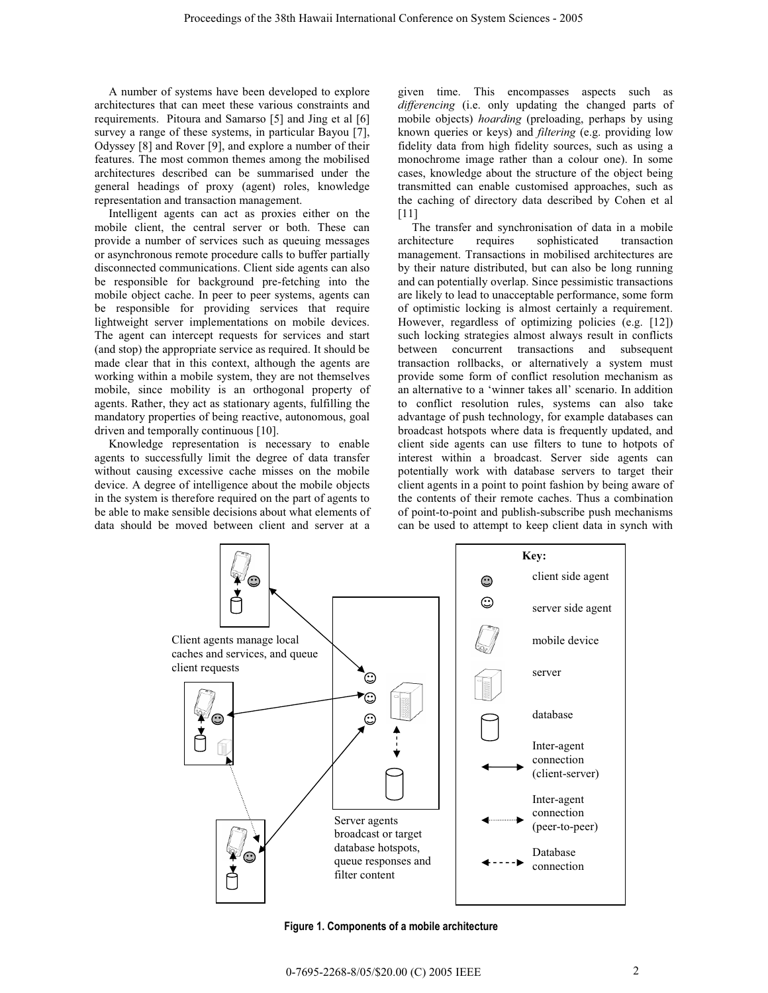A number of systems have been developed to explore architectures that can meet these various constraints and requirements. Pitoura and Samarso [5] and Jing et al [6] survey a range of these systems, in particular Bayou [7], Odyssey [8] and Rover [9], and explore a number of their features. The most common themes among the mobilised architectures described can be summarised under the general headings of proxy (agent) roles, knowledge representation and transaction management.

Intelligent agents can act as proxies either on the mobile client, the central server or both. These can provide a number of services such as queuing messages or asynchronous remote procedure calls to buffer partially disconnected communications. Client side agents can also be responsible for background pre-fetching into the mobile object cache. In peer to peer systems, agents can be responsible for providing services that require lightweight server implementations on mobile devices. The agent can intercept requests for services and start (and stop) the appropriate service as required. It should be made clear that in this context, although the agents are working within a mobile system, they are not themselves mobile, since mobility is an orthogonal property of agents. Rather, they act as stationary agents, fulfilling the mandatory properties of being reactive, autonomous, goal driven and temporally continuous [10].

Knowledge representation is necessary to enable agents to successfully limit the degree of data transfer without causing excessive cache misses on the mobile device. A degree of intelligence about the mobile objects in the system is therefore required on the part of agents to be able to make sensible decisions about what elements of data should be moved between client and server at a

given time. This encompasses aspects such as *differencing* (i.e. only updating the changed parts of mobile objects) *hoarding* (preloading, perhaps by using known queries or keys) and *filtering* (e.g. providing low fidelity data from high fidelity sources, such as using a monochrome image rather than a colour one). In some cases, knowledge about the structure of the object being transmitted can enable customised approaches, such as the caching of directory data described by Cohen et al [11]

The transfer and synchronisation of data in a mobile architecture requires sophisticated transaction management. Transactions in mobilised architectures are by their nature distributed, but can also be long running and can potentially overlap. Since pessimistic transactions are likely to lead to unacceptable performance, some form of optimistic locking is almost certainly a requirement. However, regardless of optimizing policies (e.g. [12]) such locking strategies almost always result in conflicts between concurrent transactions and subsequent transaction rollbacks, or alternatively a system must provide some form of conflict resolution mechanism as an alternative to a 'winner takes all' scenario. In addition to conflict resolution rules, systems can also take advantage of push technology, for example databases can broadcast hotspots where data is frequently updated, and client side agents can use filters to tune to hotpots of interest within a broadcast. Server side agents can potentially work with database servers to target their client agents in a point to point fashion by being aware of the contents of their remote caches. Thus a combination of point-to-point and publish-subscribe push mechanisms can be used to attempt to keep client data in synch with



**Figure 1. Components of a mobile architecture**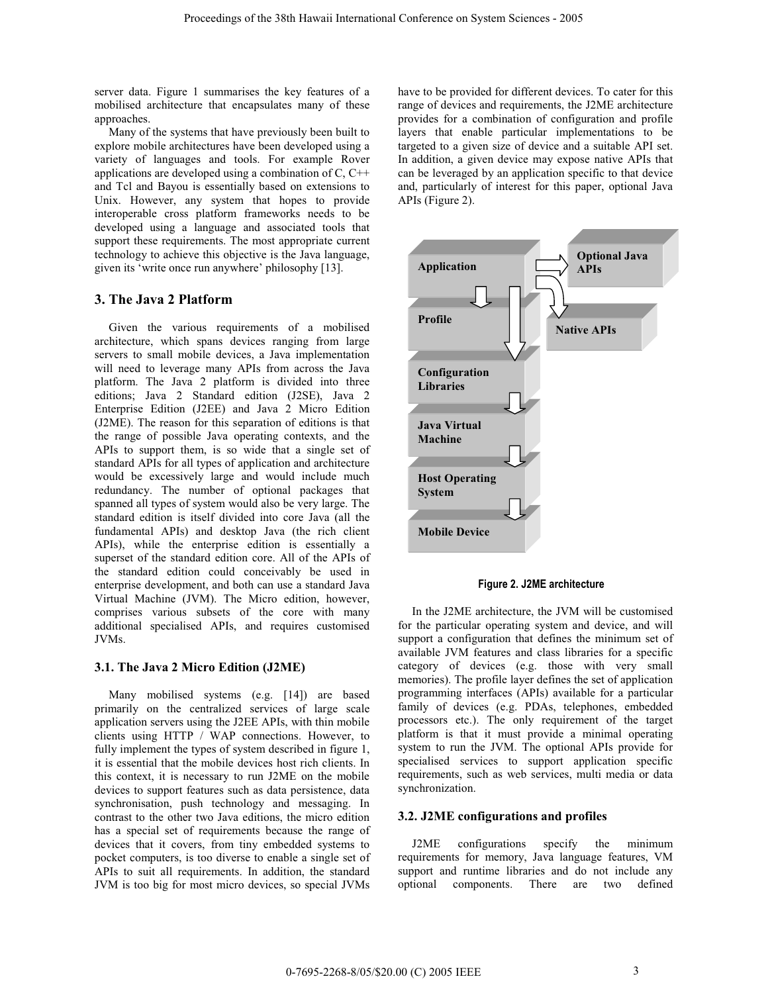server data. Figure 1 summarises the key features of a mobilised architecture that encapsulates many of these approaches.

Many of the systems that have previously been built to explore mobile architectures have been developed using a variety of languages and tools. For example Rover applications are developed using a combination of C, C++ and Tcl and Bayou is essentially based on extensions to Unix. However, any system that hopes to provide interoperable cross platform frameworks needs to be developed using a language and associated tools that support these requirements. The most appropriate current technology to achieve this objective is the Java language, given its 'write once run anywhere' philosophy [13].

## **3. The Java 2 Platform**

Given the various requirements of a mobilised architecture, which spans devices ranging from large servers to small mobile devices, a Java implementation will need to leverage many APIs from across the Java platform. The Java 2 platform is divided into three editions; Java 2 Standard edition (J2SE), Java 2 Enterprise Edition (J2EE) and Java 2 Micro Edition (J2ME). The reason for this separation of editions is that the range of possible Java operating contexts, and the APIs to support them, is so wide that a single set of standard APIs for all types of application and architecture would be excessively large and would include much redundancy. The number of optional packages that spanned all types of system would also be very large. The standard edition is itself divided into core Java (all the fundamental APIs) and desktop Java (the rich client APIs), while the enterprise edition is essentially a superset of the standard edition core. All of the APIs of the standard edition could conceivably be used in enterprise development, and both can use a standard Java Virtual Machine (JVM). The Micro edition, however, comprises various subsets of the core with many additional specialised APIs, and requires customised JVMs.

### **3.1. The Java 2 Micro Edition (J2ME)**

Many mobilised systems (e.g. [14]) are based primarily on the centralized services of large scale application servers using the J2EE APIs, with thin mobile clients using HTTP / WAP connections. However, to fully implement the types of system described in figure 1, it is essential that the mobile devices host rich clients. In this context, it is necessary to run J2ME on the mobile devices to support features such as data persistence, data synchronisation, push technology and messaging. In contrast to the other two Java editions, the micro edition has a special set of requirements because the range of devices that it covers, from tiny embedded systems to pocket computers, is too diverse to enable a single set of APIs to suit all requirements. In addition, the standard JVM is too big for most micro devices, so special JVMs have to be provided for different devices. To cater for this range of devices and requirements, the J2ME architecture provides for a combination of configuration and profile layers that enable particular implementations to be targeted to a given size of device and a suitable API set. In addition, a given device may expose native APIs that can be leveraged by an application specific to that device and, particularly of interest for this paper, optional Java APIs (Figure 2).





In the J2ME architecture, the JVM will be customised for the particular operating system and device, and will support a configuration that defines the minimum set of available JVM features and class libraries for a specific category of devices (e.g. those with very small memories). The profile layer defines the set of application programming interfaces (APIs) available for a particular family of devices (e.g. PDAs, telephones, embedded processors etc.). The only requirement of the target platform is that it must provide a minimal operating system to run the JVM. The optional APIs provide for specialised services to support application specific requirements, such as web services, multi media or data synchronization.

#### **3.2. J2ME configurations and profiles**

J2ME configurations specify the minimum requirements for memory, Java language features, VM support and runtime libraries and do not include any optional components. There are two defined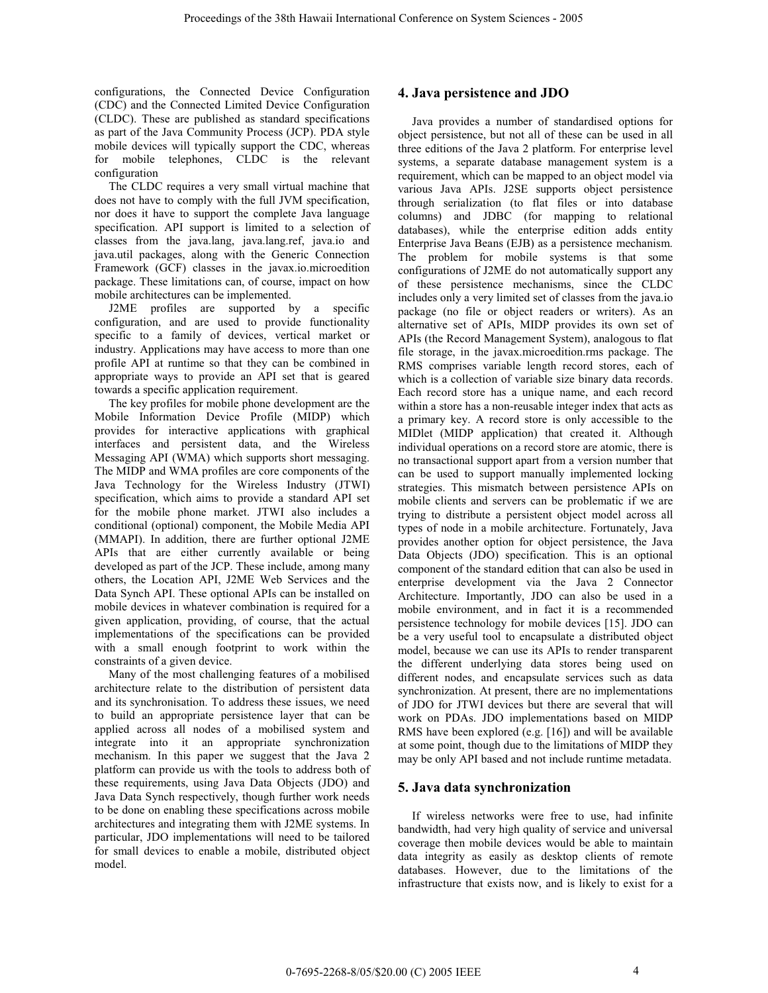configurations, the Connected Device Configuration (CDC) and the Connected Limited Device Configuration (CLDC). These are published as standard specifications as part of the Java Community Process (JCP). PDA style mobile devices will typically support the CDC, whereas for mobile telephones, CLDC is the relevant configuration

The CLDC requires a very small virtual machine that does not have to comply with the full JVM specification, nor does it have to support the complete Java language specification. API support is limited to a selection of classes from the java.lang, java.lang.ref, java.io and java.util packages, along with the Generic Connection Framework (GCF) classes in the javax.io.microedition package. These limitations can, of course, impact on how mobile architectures can be implemented.

J2ME profiles are supported by a specific configuration, and are used to provide functionality specific to a family of devices, vertical market or industry. Applications may have access to more than one profile API at runtime so that they can be combined in appropriate ways to provide an API set that is geared towards a specific application requirement.

The key profiles for mobile phone development are the Mobile Information Device Profile (MIDP) which provides for interactive applications with graphical interfaces and persistent data, and the Wireless Messaging API (WMA) which supports short messaging. The MIDP and WMA profiles are core components of the Java Technology for the Wireless Industry (JTWI) specification, which aims to provide a standard API set for the mobile phone market. JTWI also includes a conditional (optional) component, the Mobile Media API (MMAPI). In addition, there are further optional J2ME APIs that are either currently available or being developed as part of the JCP. These include, among many others, the Location API, J2ME Web Services and the Data Synch API. These optional APIs can be installed on mobile devices in whatever combination is required for a given application, providing, of course, that the actual implementations of the specifications can be provided with a small enough footprint to work within the constraints of a given device.

Many of the most challenging features of a mobilised architecture relate to the distribution of persistent data and its synchronisation. To address these issues, we need to build an appropriate persistence layer that can be applied across all nodes of a mobilised system and integrate into it an appropriate synchronization mechanism. In this paper we suggest that the Java 2 platform can provide us with the tools to address both of these requirements, using Java Data Objects (JDO) and Java Data Synch respectively, though further work needs to be done on enabling these specifications across mobile architectures and integrating them with J2ME systems. In particular, JDO implementations will need to be tailored for small devices to enable a mobile, distributed object model.

### **4. Java persistence and JDO**

Java provides a number of standardised options for object persistence, but not all of these can be used in all three editions of the Java 2 platform. For enterprise level systems, a separate database management system is a requirement, which can be mapped to an object model via various Java APIs. J2SE supports object persistence through serialization (to flat files or into database columns) and JDBC (for mapping to relational databases), while the enterprise edition adds entity Enterprise Java Beans (EJB) as a persistence mechanism. The problem for mobile systems is that some configurations of J2ME do not automatically support any of these persistence mechanisms, since the CLDC includes only a very limited set of classes from the java.io package (no file or object readers or writers). As an alternative set of APIs, MIDP provides its own set of APIs (the Record Management System), analogous to flat file storage, in the javax.microedition.rms package. The RMS comprises variable length record stores, each of which is a collection of variable size binary data records. Each record store has a unique name, and each record within a store has a non-reusable integer index that acts as a primary key. A record store is only accessible to the MIDlet (MIDP application) that created it. Although individual operations on a record store are atomic, there is no transactional support apart from a version number that can be used to support manually implemented locking strategies. This mismatch between persistence APIs on mobile clients and servers can be problematic if we are trying to distribute a persistent object model across all types of node in a mobile architecture. Fortunately, Java provides another option for object persistence, the Java Data Objects (JDO) specification. This is an optional component of the standard edition that can also be used in enterprise development via the Java 2 Connector Architecture. Importantly, JDO can also be used in a mobile environment, and in fact it is a recommended persistence technology for mobile devices [15]. JDO can be a very useful tool to encapsulate a distributed object model, because we can use its APIs to render transparent the different underlying data stores being used on different nodes, and encapsulate services such as data synchronization. At present, there are no implementations of JDO for JTWI devices but there are several that will work on PDAs. JDO implementations based on MIDP RMS have been explored (e.g. [16]) and will be available at some point, though due to the limitations of MIDP they may be only API based and not include runtime metadata.

### **5. Java data synchronization**

If wireless networks were free to use, had infinite bandwidth, had very high quality of service and universal coverage then mobile devices would be able to maintain data integrity as easily as desktop clients of remote databases. However, due to the limitations of the infrastructure that exists now, and is likely to exist for a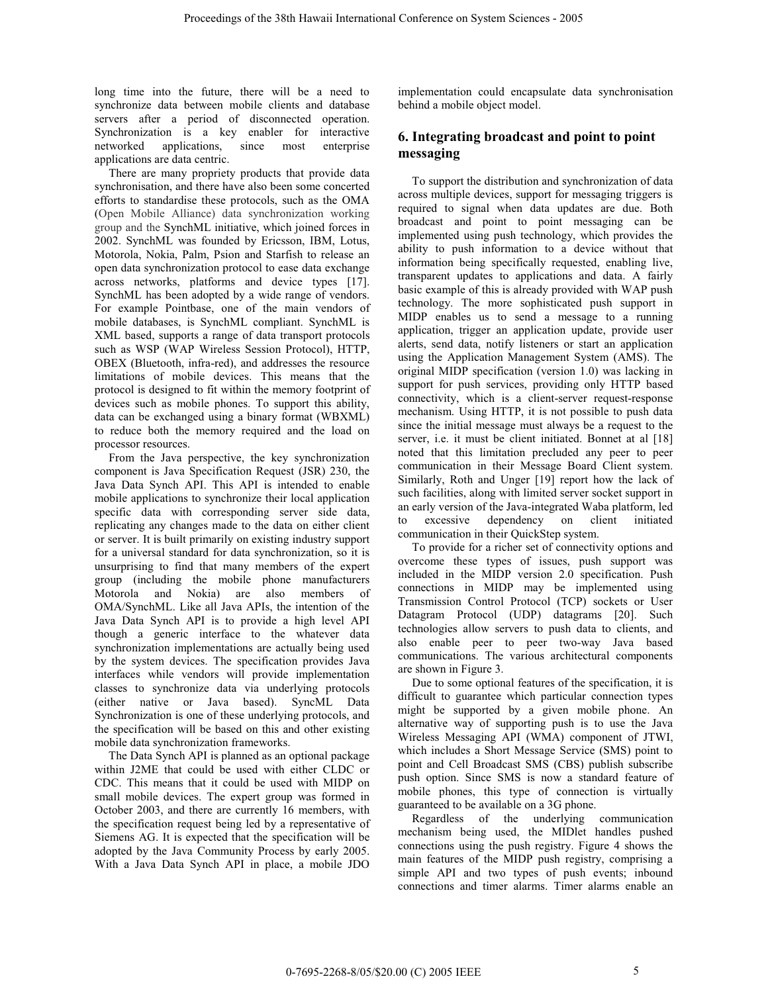long time into the future, there will be a need to synchronize data between mobile clients and database servers after a period of disconnected operation. Synchronization is a key enabler for interactive networked applications, since most enterprise applications are data centric.

There are many propriety products that provide data synchronisation, and there have also been some concerted efforts to standardise these protocols, such as the OMA (Open Mobile Alliance) data synchronization working group and the SynchML initiative, which joined forces in 2002. SynchML was founded by Ericsson, IBM, Lotus, Motorola, Nokia, Palm, Psion and Starfish to release an open data synchronization protocol to ease data exchange across networks, platforms and device types [17]. SynchML has been adopted by a wide range of vendors. For example Pointbase, one of the main vendors of mobile databases, is SynchML compliant. SynchML is XML based, supports a range of data transport protocols such as WSP (WAP Wireless Session Protocol), HTTP, OBEX (Bluetooth, infra-red), and addresses the resource limitations of mobile devices. This means that the protocol is designed to fit within the memory footprint of devices such as mobile phones. To support this ability, data can be exchanged using a binary format (WBXML) to reduce both the memory required and the load on processor resources.

From the Java perspective, the key synchronization component is Java Specification Request (JSR) 230, the Java Data Synch API. This API is intended to enable mobile applications to synchronize their local application specific data with corresponding server side data, replicating any changes made to the data on either client or server. It is built primarily on existing industry support for a universal standard for data synchronization, so it is unsurprising to find that many members of the expert group (including the mobile phone manufacturers Motorola and Nokia) are also members of OMA/SynchML. Like all Java APIs, the intention of the Java Data Synch API is to provide a high level API though a generic interface to the whatever data synchronization implementations are actually being used by the system devices. The specification provides Java interfaces while vendors will provide implementation classes to synchronize data via underlying protocols (either native or Java based). SyncML Data Synchronization is one of these underlying protocols, and the specification will be based on this and other existing mobile data synchronization frameworks.

The Data Synch API is planned as an optional package within J2ME that could be used with either CLDC or CDC. This means that it could be used with MIDP on small mobile devices. The expert group was formed in October 2003, and there are currently 16 members, with the specification request being led by a representative of Siemens AG. It is expected that the specification will be adopted by the Java Community Process by early 2005. With a Java Data Synch API in place, a mobile JDO

implementation could encapsulate data synchronisation behind a mobile object model.

# **6. Integrating broadcast and point to point messaging**

To support the distribution and synchronization of data across multiple devices, support for messaging triggers is required to signal when data updates are due. Both broadcast and point to point messaging can be implemented using push technology, which provides the ability to push information to a device without that information being specifically requested, enabling live, transparent updates to applications and data. A fairly basic example of this is already provided with WAP push technology. The more sophisticated push support in MIDP enables us to send a message to a running application, trigger an application update, provide user alerts, send data, notify listeners or start an application using the Application Management System (AMS). The original MIDP specification (version 1.0) was lacking in support for push services, providing only HTTP based connectivity, which is a client-server request-response mechanism. Using HTTP, it is not possible to push data since the initial message must always be a request to the server, i.e. it must be client initiated. Bonnet at al [18] noted that this limitation precluded any peer to peer communication in their Message Board Client system. Similarly, Roth and Unger [19] report how the lack of such facilities, along with limited server socket support in an early version of the Java-integrated Waba platform, led to excessive dependency on client initiated communication in their QuickStep system.

To provide for a richer set of connectivity options and overcome these types of issues, push support was included in the MIDP version 2.0 specification. Push connections in MIDP may be implemented using Transmission Control Protocol (TCP) sockets or User Datagram Protocol (UDP) datagrams [20]. Such technologies allow servers to push data to clients, and also enable peer to peer two-way Java based communications. The various architectural components are shown in Figure 3.

Due to some optional features of the specification, it is difficult to guarantee which particular connection types might be supported by a given mobile phone. An alternative way of supporting push is to use the Java Wireless Messaging API (WMA) component of JTWI, which includes a Short Message Service (SMS) point to point and Cell Broadcast SMS (CBS) publish subscribe push option. Since SMS is now a standard feature of mobile phones, this type of connection is virtually guaranteed to be available on a 3G phone.

Regardless of the underlying communication mechanism being used, the MIDlet handles pushed connections using the push registry. Figure 4 shows the main features of the MIDP push registry, comprising a simple API and two types of push events; inbound connections and timer alarms. Timer alarms enable an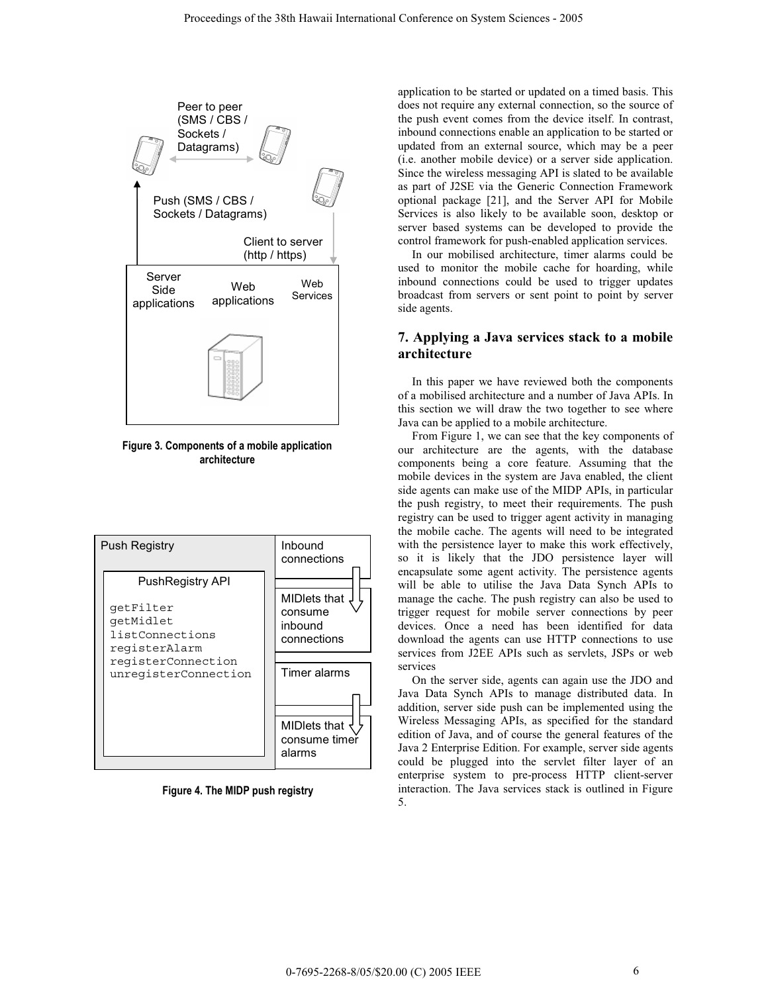

**Figure 3. Components of a mobile application** 



**Figure 4. The MIDP push registry** 

application to be started or updated on a timed basis. This does not require any external connection, so the source of the push event comes from the device itself. In contrast, inbound connections enable an application to be started or updated from an external source, which may be a peer (i.e. another mobile device) or a server side application. Since the wireless messaging API is slated to be available as part of J2SE via the Generic Connection Framework optional package [21], and the Server API for Mobile Services is also likely to be available soon, desktop or server based systems can be developed to provide the control framework for push-enabled application services.

In our mobilised architecture, timer alarms could be used to monitor the mobile cache for hoarding, while inbound connections could be used to trigger updates broadcast from servers or sent point to point by server side agents.

# **7. Applying a Java services stack to a mobile architecture**

In this paper we have reviewed both the components of a mobilised architecture and a number of Java APIs. In this section we will draw the two together to see where Java can be applied to a mobile architecture.

From Figure 1, we can see that the key components of our architecture are the agents, with the database components being a core feature. Assuming that the mobile devices in the system are Java enabled, the client side agents can make use of the MIDP APIs, in particular the push registry, to meet their requirements. The push registry can be used to trigger agent activity in managing the mobile cache. The agents will need to be integrated with the persistence layer to make this work effectively, so it is likely that the JDO persistence layer will encapsulate some agent activity. The persistence agents will be able to utilise the Java Data Synch APIs to manage the cache. The push registry can also be used to trigger request for mobile server connections by peer devices. Once a need has been identified for data download the agents can use HTTP connections to use services from J2EE APIs such as servlets, JSPs or web services

On the server side, agents can again use the JDO and Java Data Synch APIs to manage distributed data. In addition, server side push can be implemented using the Wireless Messaging APIs, as specified for the standard edition of Java, and of course the general features of the Java 2 Enterprise Edition. For example, server side agents could be plugged into the servlet filter layer of an enterprise system to pre-process HTTP client-server interaction. The Java services stack is outlined in Figure 5.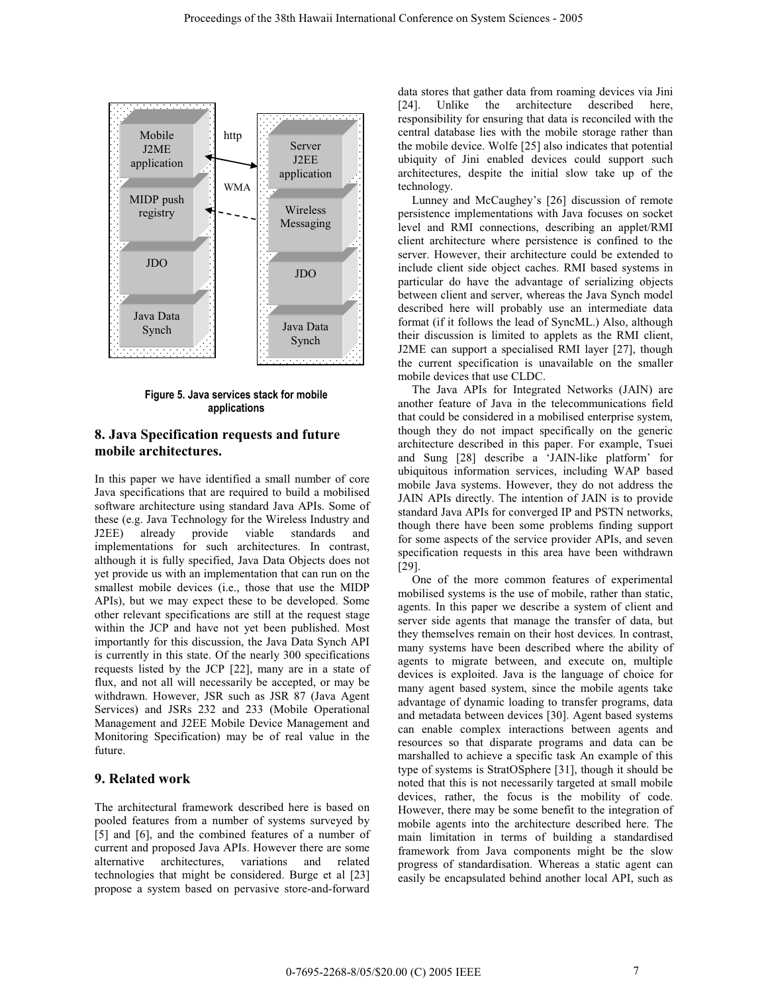

**Figure 3. Separate stack for the stack for the stack for the stack for stack for the stack for stack for the stack for the stack for stack for stack for stack for stack for stack for stack for stack for stack for stack fo applications** 

# **8. Java Specification requests and future mobile architectures.**

In this paper we have identified a small number of core Java specifications that are required to build a mobilised software architecture using standard Java APIs. Some of these (e.g. Java Technology for the Wireless Industry and J2EE) already provide viable standards and J2EE) already provide viable standards and implementations for such architectures. In contrast, although it is fully specified, Java Data Objects does not yet provide us with an implementation that can run on the smallest mobile devices (i.e., those that use the MIDP APIs), but we may expect these to be developed. Some other relevant specifications are still at the request stage within the JCP and have not yet been published. Most importantly for this discussion, the Java Data Synch API is currently in this state. Of the nearly 300 specifications requests listed by the JCP [22], many are in a state of flux, and not all will necessarily be accepted, or may be withdrawn. However, JSR such as JSR 87 (Java Agent Services) and JSRs 232 and 233 (Mobile Operational Management and J2EE Mobile Device Management and Monitoring Specification) may be of real value in the future.

# **9. Related work**

The architectural framework described here is based on pooled features from a number of systems surveyed by [5] and [6], and the combined features of a number of current and proposed Java APIs. However there are some alternative architectures, variations and related technologies that might be considered. Burge et al [23] propose a system based on pervasive store-and-forward

data stores that gather data from roaming devices via Jini [24]. Unlike the architecture described here, responsibility for ensuring that data is reconciled with the central database lies with the mobile storage rather than the mobile device. Wolfe [25] also indicates that potential ubiquity of Jini enabled devices could support such architectures, despite the initial slow take up of the technology.

Lunney and McCaughey's [26] discussion of remote persistence implementations with Java focuses on socket level and RMI connections, describing an applet/RMI client architecture where persistence is confined to the server. However, their architecture could be extended to include client side object caches. RMI based systems in particular do have the advantage of serializing objects between client and server, whereas the Java Synch model described here will probably use an intermediate data format (if it follows the lead of SyncML.) Also, although their discussion is limited to applets as the RMI client, J2ME can support a specialised RMI layer [27], though the current specification is unavailable on the smaller mobile devices that use CLDC.

The Java APIs for Integrated Networks (JAIN) are another feature of Java in the telecommunications field that could be considered in a mobilised enterprise system, though they do not impact specifically on the generic architecture described in this paper. For example, Tsuei and Sung [28] describe a 'JAIN-like platform' for ubiquitous information services, including WAP based mobile Java systems. However, they do not address the JAIN APIs directly. The intention of JAIN is to provide standard Java APIs for converged IP and PSTN networks, though there have been some problems finding support for some aspects of the service provider APIs, and seven specification requests in this area have been withdrawn [29].

One of the more common features of experimental mobilised systems is the use of mobile, rather than static, agents. In this paper we describe a system of client and server side agents that manage the transfer of data, but they themselves remain on their host devices. In contrast, many systems have been described where the ability of agents to migrate between, and execute on, multiple devices is exploited. Java is the language of choice for many agent based system, since the mobile agents take advantage of dynamic loading to transfer programs, data and metadata between devices [30]. Agent based systems can enable complex interactions between agents and resources so that disparate programs and data can be marshalled to achieve a specific task An example of this type of systems is StratOSphere [31], though it should be noted that this is not necessarily targeted at small mobile devices, rather, the focus is the mobility of code. However, there may be some benefit to the integration of mobile agents into the architecture described here. The main limitation in terms of building a standardised framework from Java components might be the slow progress of standardisation. Whereas a static agent can easily be encapsulated behind another local API, such as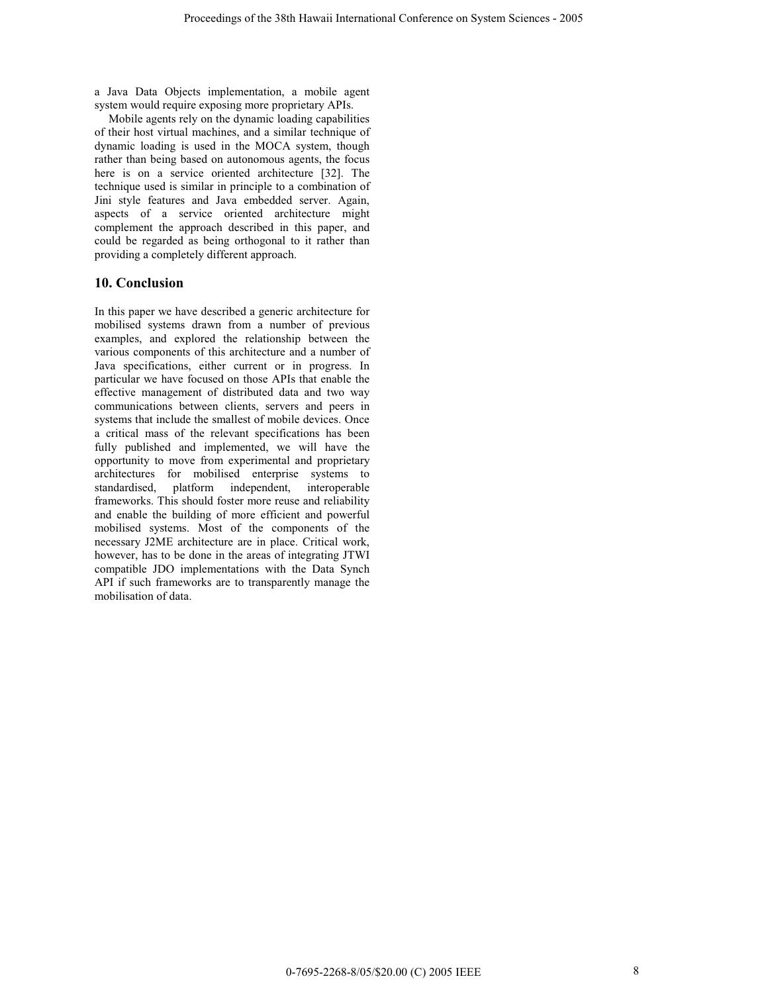a Java Data Objects implementation, a mobile agent system would require exposing more proprietary APIs.

Mobile agents rely on the dynamic loading capabilities of their host virtual machines, and a similar technique of dynamic loading is used in the MOCA system, though rather than being based on autonomous agents, the focus here is on a service oriented architecture [32]. The technique used is similar in principle to a combination of Jini style features and Java embedded server. Again, aspects of a service oriented architecture might complement the approach described in this paper, and could be regarded as being orthogonal to it rather than providing a completely different approach.

## **10. Conclusion**

In this paper we have described a generic architecture for mobilised systems drawn from a number of previous examples, and explored the relationship between the various components of this architecture and a number of Java specifications, either current or in progress. In particular we have focused on those APIs that enable the effective management of distributed data and two way communications between clients, servers and peers in systems that include the smallest of mobile devices. Once a critical mass of the relevant specifications has been fully published and implemented, we will have the opportunity to move from experimental and proprietary architectures for mobilised enterprise systems to standardised, platform independent, interoperable frameworks. This should foster more reuse and reliability and enable the building of more efficient and powerful mobilised systems. Most of the components of the necessary J2ME architecture are in place. Critical work, however, has to be done in the areas of integrating JTWI compatible JDO implementations with the Data Synch API if such frameworks are to transparently manage the mobilisation of data.